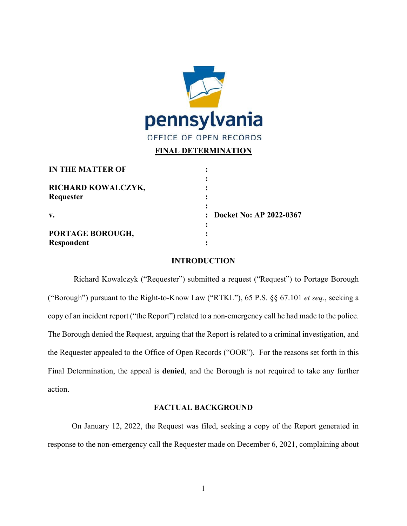

## **FINAL DETERMINATION**

| <b>IN THE MATTER OF</b>        |                           |
|--------------------------------|---------------------------|
| RICHARD KOWALCZYK,             |                           |
| Requester                      |                           |
| $\mathbf{v}$ .                 | : Docket No: AP 2022-0367 |
| PORTAGE BOROUGH,<br>Respondent |                           |

## **INTRODUCTION**

Richard Kowalczyk ("Requester") submitted a request ("Request") to Portage Borough ("Borough") pursuant to the Right-to-Know Law ("RTKL"), 65 P.S. §§ 67.101 *et seq*., seeking a copy of an incident report ("the Report") related to a non-emergency call he had made to the police. The Borough denied the Request, arguing that the Report is related to a criminal investigation, and the Requester appealed to the Office of Open Records ("OOR"). For the reasons set forth in this Final Determination, the appeal is **denied**, and the Borough is not required to take any further action.

## **FACTUAL BACKGROUND**

On January 12, 2022, the Request was filed, seeking a copy of the Report generated in response to the non-emergency call the Requester made on December 6, 2021, complaining about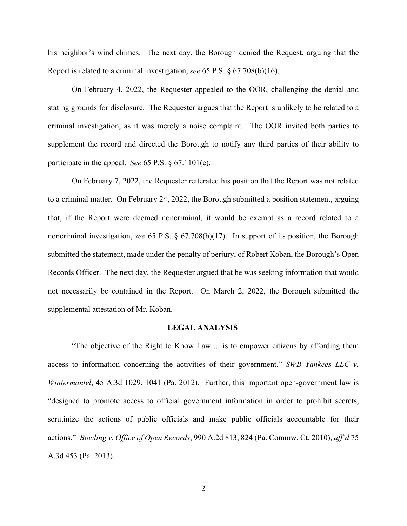his neighbor's wind chimes. The next day, the Borough denied the Request, arguing that the Report is related to a criminal investigation, *see* 65 P.S. § 67.708(b)(16).

On February 4, 2022, the Requester appealed to the OOR, challenging the denial and stating grounds for disclosure. The Requester argues that the Report is unlikely to be related to a criminal investigation, as it was merely a noise complaint. The OOR invited both parties to supplement the record and directed the Borough to notify any third parties of their ability to participate in the appeal. *See* 65 P.S. § 67.1101(c).

On February 7, 2022, the Requester reiterated his position that the Report was not related to a criminal matter. On February 24, 2022, the Borough submitted a position statement, arguing that, if the Report were deemed noncriminal, it would be exempt as a record related to a noncriminal investigation, *see* 65 P.S. § 67.708(b)(17). In support of its position, the Borough submitted the statement, made under the penalty of perjury, of Robert Koban, the Borough's Open Records Officer. The next day, the Requester argued that he was seeking information that would not necessarily be contained in the Report. On March 2, 2022, the Borough submitted the supplemental attestation of Mr. Koban.

#### **LEGAL ANALYSIS**

"The objective of the Right to Know Law ... is to empower citizens by affording them access to information concerning the activities of their government." *SWB Yankees LLC v. Wintermantel*, 45 A.3d 1029, 1041 (Pa. 2012). Further, this important open-government law is "designed to promote access to official government information in order to prohibit secrets, scrutinize the actions of public officials and make public officials accountable for their actions." *Bowling v. Office of Open Records*, 990 A.2d 813, 824 (Pa. Commw. Ct. 2010), *aff'd* 75 A.3d 453 (Pa. 2013).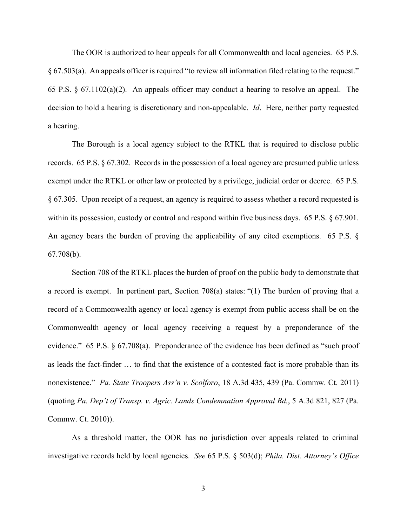The OOR is authorized to hear appeals for all Commonwealth and local agencies. 65 P.S. § 67.503(a). An appeals officer is required "to review all information filed relating to the request." 65 P.S. § 67.1102(a)(2). An appeals officer may conduct a hearing to resolve an appeal. The decision to hold a hearing is discretionary and non-appealable. *Id*. Here, neither party requested a hearing.

The Borough is a local agency subject to the RTKL that is required to disclose public records. 65 P.S. § 67.302. Records in the possession of a local agency are presumed public unless exempt under the RTKL or other law or protected by a privilege, judicial order or decree. 65 P.S. § 67.305. Upon receipt of a request, an agency is required to assess whether a record requested is within its possession, custody or control and respond within five business days. 65 P.S. § 67.901. An agency bears the burden of proving the applicability of any cited exemptions. 65 P.S. § 67.708(b).

Section 708 of the RTKL places the burden of proof on the public body to demonstrate that a record is exempt. In pertinent part, Section 708(a) states: "(1) The burden of proving that a record of a Commonwealth agency or local agency is exempt from public access shall be on the Commonwealth agency or local agency receiving a request by a preponderance of the evidence." 65 P.S. § 67.708(a). Preponderance of the evidence has been defined as "such proof as leads the fact-finder … to find that the existence of a contested fact is more probable than its nonexistence." *Pa. State Troopers Ass'n v. Scolforo*, 18 A.3d 435, 439 (Pa. Commw. Ct. 2011) (quoting *Pa. Dep't of Transp. v. Agric. Lands Condemnation Approval Bd.*, 5 A.3d 821, 827 (Pa. Commw. Ct. 2010)).

As a threshold matter, the OOR has no jurisdiction over appeals related to criminal investigative records held by local agencies. *See* 65 P.S. § 503(d); *Phila. Dist. Attorney's Office*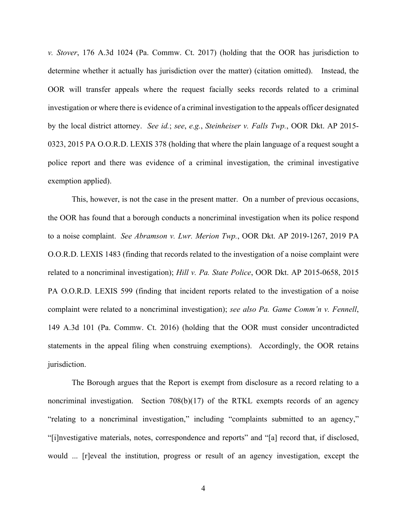*v. Stover*, 176 A.3d 1024 (Pa. Commw. Ct. 2017) (holding that the OOR has jurisdiction to determine whether it actually has jurisdiction over the matter) (citation omitted). Instead, the OOR will transfer appeals where the request facially seeks records related to a criminal investigation or where there is evidence of a criminal investigation to the appeals officer designated by the local district attorney. *See id.*; *see*, *e.g.*, *Steinheiser v. Falls Twp.*, OOR Dkt. AP 2015- 0323, 2015 PA O.O.R.D. LEXIS 378 (holding that where the plain language of a request sought a police report and there was evidence of a criminal investigation, the criminal investigative exemption applied).

This, however, is not the case in the present matter. On a number of previous occasions, the OOR has found that a borough conducts a noncriminal investigation when its police respond to a noise complaint. *See Abramson v. Lwr. Merion Twp.*, OOR Dkt. AP 2019-1267, 2019 PA O.O.R.D. LEXIS 1483 (finding that records related to the investigation of a noise complaint were related to a noncriminal investigation); *Hill v. Pa. State Police*, OOR Dkt. AP 2015-0658, 2015 PA O.O.R.D. LEXIS 599 (finding that incident reports related to the investigation of a noise complaint were related to a noncriminal investigation); *see also Pa. Game Comm'n v. Fennell*, 149 A.3d 101 (Pa. Commw. Ct. 2016) (holding that the OOR must consider uncontradicted statements in the appeal filing when construing exemptions). Accordingly, the OOR retains jurisdiction.

The Borough argues that the Report is exempt from disclosure as a record relating to a noncriminal investigation. Section 708(b)(17) of the RTKL exempts records of an agency "relating to a noncriminal investigation," including "complaints submitted to an agency," "[i]nvestigative materials, notes, correspondence and reports" and "[a] record that, if disclosed, would ... [r]eveal the institution, progress or result of an agency investigation, except the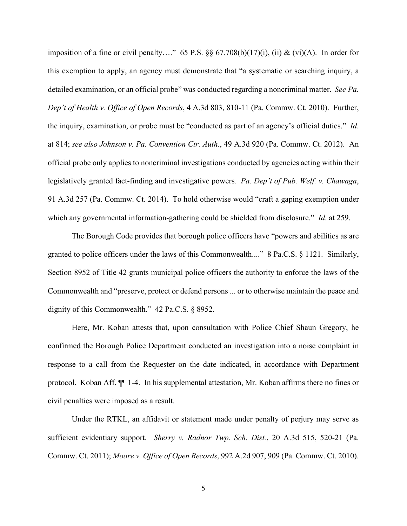imposition of a fine or civil penalty…." 65 P.S.  $\S\S 67.708(b)(17)(i)$ , (ii) & (vi)(A). In order for this exemption to apply, an agency must demonstrate that "a systematic or searching inquiry, a detailed examination, or an official probe" was conducted regarding a noncriminal matter. *See Pa. Dep't of Health v. Office of Open Records*, 4 A.3d 803, 810-11 (Pa. Commw. Ct. 2010). Further, the inquiry, examination, or probe must be "conducted as part of an agency's official duties." *Id*. at 814; *see also Johnson v. Pa. Convention Ctr. Auth.*, 49 A.3d 920 (Pa. Commw. Ct. 2012). An official probe only applies to noncriminal investigations conducted by agencies acting within their legislatively granted fact-finding and investigative powers*. Pa. Dep't of Pub. Welf. v. Chawaga*, 91 A.3d 257 (Pa. Commw. Ct. 2014). To hold otherwise would "craft a gaping exemption under which any governmental information-gathering could be shielded from disclosure." *Id*. at 259.

The Borough Code provides that borough police officers have "powers and abilities as are granted to police officers under the laws of this Commonwealth...." 8 Pa.C.S. § 1121. Similarly, Section 8952 of Title 42 grants municipal police officers the authority to enforce the laws of the Commonwealth and "preserve, protect or defend persons ... or to otherwise maintain the peace and dignity of this Commonwealth." 42 Pa.C.S. § 8952.

Here, Mr. Koban attests that, upon consultation with Police Chief Shaun Gregory, he confirmed the Borough Police Department conducted an investigation into a noise complaint in response to a call from the Requester on the date indicated, in accordance with Department protocol. Koban Aff. ¶¶ 1-4. In his supplemental attestation, Mr. Koban affirms there no fines or civil penalties were imposed as a result.

Under the RTKL, an affidavit or statement made under penalty of perjury may serve as sufficient evidentiary support. *Sherry v. Radnor Twp. Sch. Dist.*, 20 A.3d 515, 520-21 (Pa. Commw. Ct. 2011); *Moore v. Office of Open Records*, 992 A.2d 907, 909 (Pa. Commw. Ct. 2010).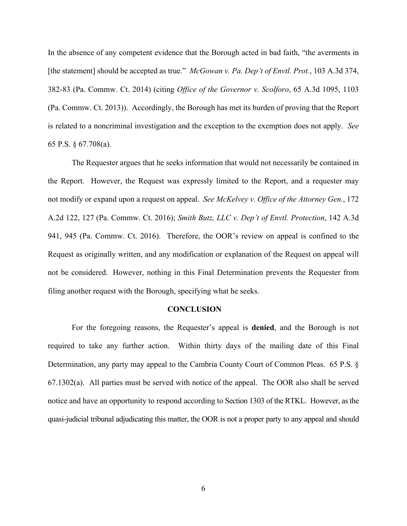In the absence of any competent evidence that the Borough acted in bad faith, "the averments in [the statement] should be accepted as true." *McGowan v. Pa. Dep't of Envtl. Prot.*, 103 A.3d 374, 382-83 (Pa. Commw. Ct. 2014) (citing *Office of the Governor v. Scolforo*, 65 A.3d 1095, 1103 (Pa. Commw. Ct. 2013)). Accordingly, the Borough has met its burden of proving that the Report is related to a noncriminal investigation and the exception to the exemption does not apply. *See*  65 P.S. § 67.708(a).

The Requester argues that he seeks information that would not necessarily be contained in the Report. However, the Request was expressly limited to the Report, and a requester may not modify or expand upon a request on appeal. *See McKelvey v. Office of the Attorney Gen.*, 172 A.2d 122, 127 (Pa. Commw. Ct. 2016); *Smith Butz, LLC v. Dep't of Envtl. Protection*, 142 A.3d 941, 945 (Pa. Commw. Ct. 2016). Therefore, the OOR's review on appeal is confined to the Request as originally written, and any modification or explanation of the Request on appeal will not be considered. However, nothing in this Final Determination prevents the Requester from filing another request with the Borough, specifying what he seeks.

### **CONCLUSION**

For the foregoing reasons, the Requester's appeal is **denied**, and the Borough is not required to take any further action. Within thirty days of the mailing date of this Final Determination, any party may appeal to the Cambria County Court of Common Pleas. 65 P.S. § 67.1302(a). All parties must be served with notice of the appeal. The OOR also shall be served notice and have an opportunity to respond according to Section 1303 of the RTKL. However, as the quasi-judicial tribunal adjudicating this matter, the OOR is not a proper party to any appeal and should